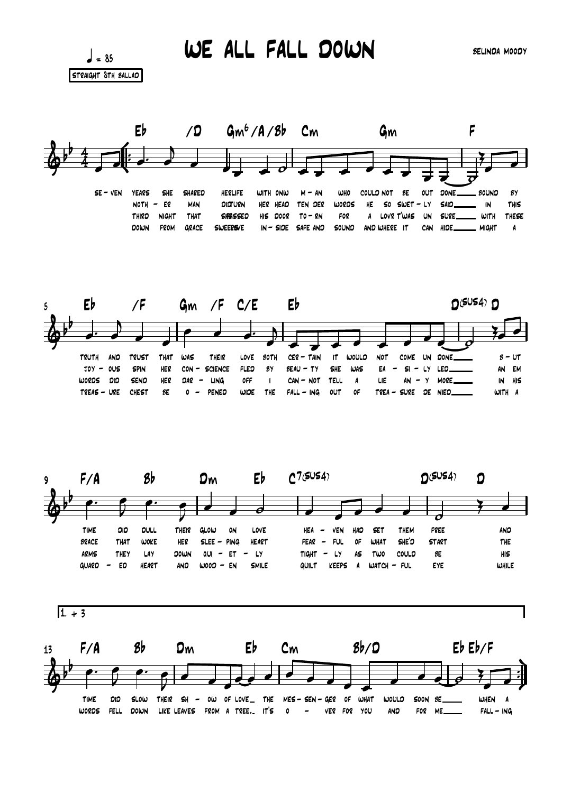$\frac{1}{2}$  = 85 STRAIGHT 8TH BALLAD

**TIME** 

**WORDS** 

ΩIΩ

**FELL** 

**SLOW** 

DOWN

WE ALL FALL DOWN

**SELINDA MOODY** 







0F

VER FOR YOU

**WHAT** 

**WOULD** 

AND

SOON SE.

FOR ME\_

WHEN A

 $FALL - ING$ 

THEIR SH - OW OF LOVE \_ THE MES - SEN - GER

LIKE LEAVES FROM A TREE. IT'S 0 -